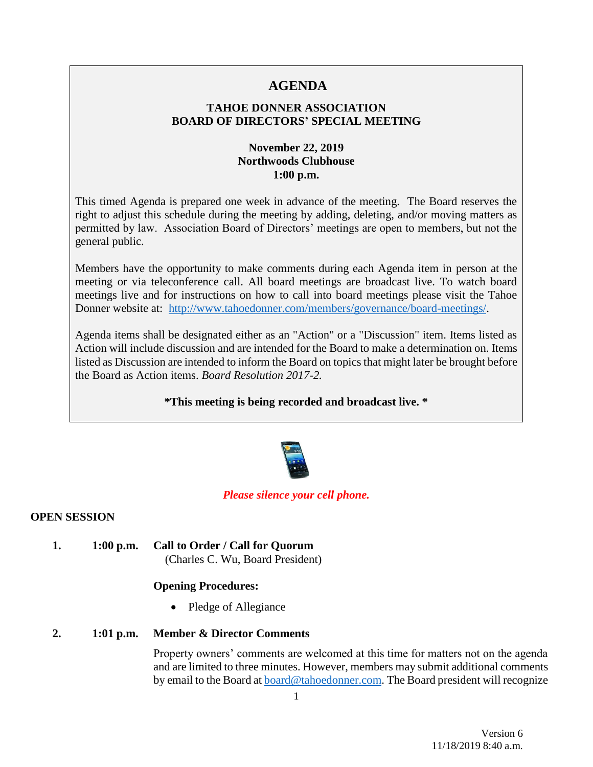# **AGENDA**

# **TAHOE DONNER ASSOCIATION BOARD OF DIRECTORS' SPECIAL MEETING**

# **November 22, 2019 Northwoods Clubhouse 1:00 p.m.**

This timed Agenda is prepared one week in advance of the meeting. The Board reserves the right to adjust this schedule during the meeting by adding, deleting, and/or moving matters as permitted by law. Association Board of Directors' meetings are open to members, but not the general public.

Members have the opportunity to make comments during each Agenda item in person at the meeting or via teleconference call. All board meetings are broadcast live. To watch board meetings live and for instructions on how to call into board meetings please visit the Tahoe Donner website at: [http://www.tahoedonner.com/members/governance/board-meetings/.](http://www.tahoedonner.com/members/governance/board-meetings/)

Agenda items shall be designated either as an "Action" or a "Discussion" item. Items listed as Action will include discussion and are intended for the Board to make a determination on. Items listed as Discussion are intended to inform the Board on topics that might later be brought before the Board as Action items. *Board Resolution 2017-2.*

# **\*This meeting is being recorded and broadcast live. \***



#### *Please silence your cell phone.*

#### **OPEN SESSION**

**1. 1:00 p.m. Call to Order / Call for Quorum** (Charles C. Wu, Board President)

# **Opening Procedures:**

• Pledge of Allegiance

#### **2. 1:01 p.m. Member & Director Comments**

Property owners' comments are welcomed at this time for matters not on the agenda and are limited to three minutes. However, members may submit additional comments by email to the Board at [board@tahoedonner.com.](mailto:board@tahoedonner.com) The Board president will recognize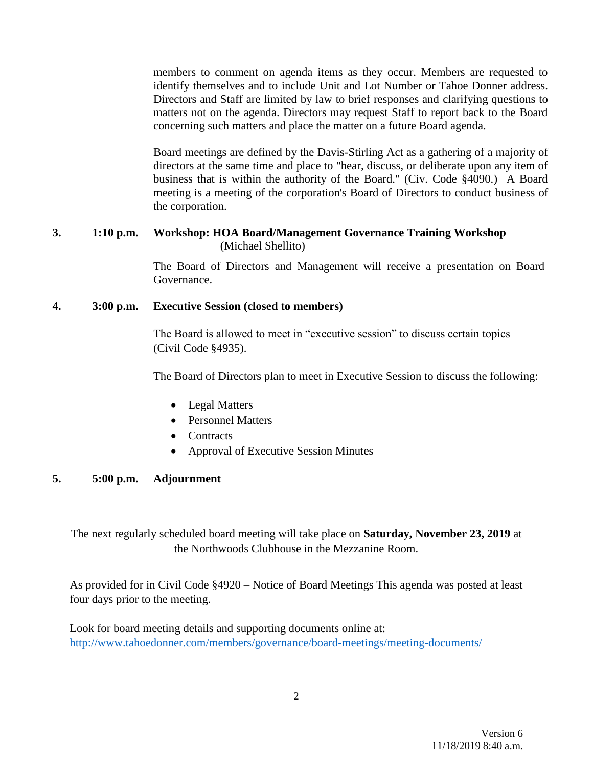members to comment on agenda items as they occur. Members are requested to identify themselves and to include Unit and Lot Number or Tahoe Donner address. Directors and Staff are limited by law to brief responses and clarifying questions to matters not on the agenda. Directors may request Staff to report back to the Board concerning such matters and place the matter on a future Board agenda.

Board meetings are defined by the Davis-Stirling Act as a gathering of a majority of directors at the same time and place to "hear, discuss, or deliberate upon any item of business that is within the authority of the Board." (Civ. Code §4090.) A Board meeting is a meeting of the corporation's Board of Directors to conduct business of the corporation.

#### **3. 1:10 p.m. Workshop: HOA Board/Management Governance Training Workshop** (Michael Shellito)

The Board of Directors and Management will receive a presentation on Board Governance.

# **4. 3:00 p.m. Executive Session (closed to members)**

The Board is allowed to meet in "executive session" to discuss certain topics (Civil Code §4935).

The Board of Directors plan to meet in Executive Session to discuss the following:

- Legal Matters
- Personnel Matters
- Contracts
- Approval of Executive Session Minutes

# **5. 5:00 p.m. Adjournment**

The next regularly scheduled board meeting will take place on **Saturday, November 23, 2019** at the Northwoods Clubhouse in the Mezzanine Room.

As provided for in Civil Code §4920 – Notice of Board Meetings This agenda was posted at least four days prior to the meeting.

Look for board meeting details and supporting documents online at: http://www.tahoedonner.com/members/governance/board-meetings/meeting-documents/